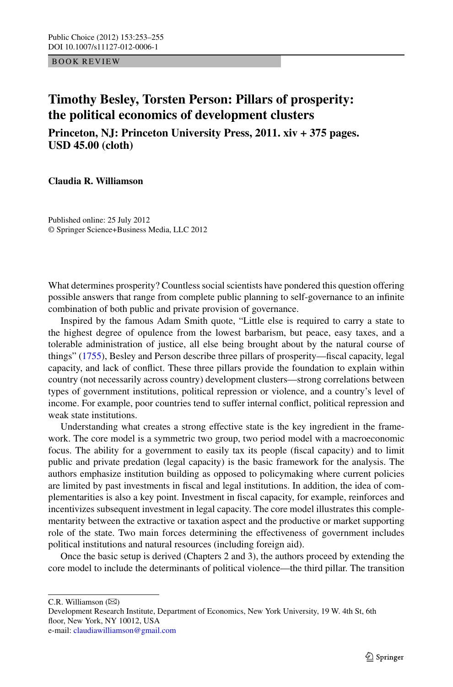BOOK REVIEW

## **Timothy Besley, Torsten Person: Pillars of prosperity: the political economics of development clusters**

**Princeton, NJ: Princeton University Press, 2011. xiv + 375 pages. USD 45.00 (cloth)**

**Claudia R. Williamson**

Published online: 25 July 2012 © Springer Science+Business Media, LLC 2012

What determines prosperity? Countless social scientists have pondered this question offering possible answers that range from complete public planning to self-governance to an infinite combination of both public and private provision of governance.

Inspired by the famous Adam Smith quote, "Little else is required to carry a state to the highest degree of opulence from the lowest barbarism, but peace, easy taxes, and a tolerable administration of justice, all else being brought about by the natural course of things" ([1755](#page-2-0)), Besley and Person describe three pillars of prosperity—fiscal capacity, legal capacity, and lack of conflict. These three pillars provide the foundation to explain within country (not necessarily across country) development clusters—strong correlations between types of government institutions, political repression or violence, and a country's level of income. For example, poor countries tend to suffer internal conflict, political repression and weak state institutions.

Understanding what creates a strong effective state is the key ingredient in the framework. The core model is a symmetric two group, two period model with a macroeconomic focus. The ability for a government to easily tax its people (fiscal capacity) and to limit public and private predation (legal capacity) is the basic framework for the analysis. The authors emphasize institution building as opposed to policymaking where current policies are limited by past investments in fiscal and legal institutions. In addition, the idea of complementarities is also a key point. Investment in fiscal capacity, for example, reinforces and incentivizes subsequent investment in legal capacity. The core model illustrates this complementarity between the extractive or taxation aspect and the productive or market supporting role of the state. Two main forces determining the effectiveness of government includes political institutions and natural resources (including foreign aid).

Once the basic setup is derived (Chapters 2 and 3), the authors proceed by extending the core model to include the determinants of political violence—the third pillar. The transition

 $C.R.$  Williamson  $(\boxtimes)$ 

Development Research Institute, Department of Economics, New York University, 19 W. 4th St, 6th floor, New York, NY 10012, USA e-mail: [claudiawilliamson@gmail.com](mailto:claudiawilliamson@gmail.com)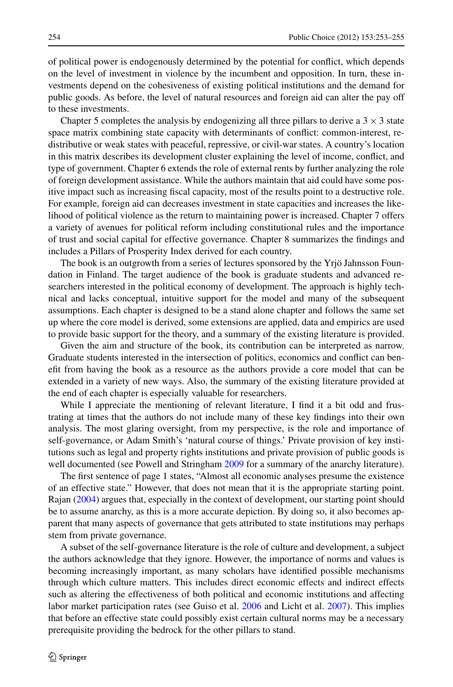of political power is endogenously determined by the potential for conflict, which depends on the level of investment in violence by the incumbent and opposition. In turn, these investments depend on the cohesiveness of existing political institutions and the demand for public goods. As before, the level of natural resources and foreign aid can alter the pay off to these investments.

Chapter 5 completes the analysis by endogenizing all three pillars to derive a  $3 \times 3$  state space matrix combining state capacity with determinants of conflict: common-interest, redistributive or weak states with peaceful, repressive, or civil-war states. A country's location in this matrix describes its development cluster explaining the level of income, conflict, and type of government. Chapter 6 extends the role of external rents by further analyzing the role of foreign development assistance. While the authors maintain that aid could have some positive impact such as increasing fiscal capacity, most of the results point to a destructive role. For example, foreign aid can decreases investment in state capacities and increases the likelihood of political violence as the return to maintaining power is increased. Chapter 7 offers a variety of avenues for political reform including constitutional rules and the importance of trust and social capital for effective governance. Chapter 8 summarizes the findings and includes a Pillars of Prosperity Index derived for each country.

The book is an outgrowth from a series of lectures sponsored by the Yrjö Jahnsson Foundation in Finland. The target audience of the book is graduate students and advanced researchers interested in the political economy of development. The approach is highly technical and lacks conceptual, intuitive support for the model and many of the subsequent assumptions. Each chapter is designed to be a stand alone chapter and follows the same set up where the core model is derived, some extensions are applied, data and empirics are used to provide basic support for the theory, and a summary of the existing literature is provided.

Given the aim and structure of the book, its contribution can be interpreted as narrow. Graduate students interested in the intersection of politics, economics and conflict can benefit from having the book as a resource as the authors provide a core model that can be extended in a variety of new ways. Also, the summary of the existing literature provided at the end of each chapter is especially valuable for researchers.

While I appreciate the mentioning of relevant literature, I find it a bit odd and frustrating at times that the authors do not include many of these key findings into their own analysis. The most glaring oversight, from my perspective, is the role and importance of self-governance, or Adam Smith's 'natural course of things.' Private provision of key institutions such as legal and property rights institutions and private provision of public goods is well documented (see Powell and Stringham [2009](#page-2-1) for a summary of the anarchy literature).

The first sentence of page 1 states, "Almost all economic analyses presume the existence of an effective state." However, that does not mean that it is the appropriate starting point. Rajan [\(2004](#page-2-2)) argues that, especially in the context of development, our starting point should be to assume anarchy, as this is a more accurate depiction. By doing so, it also becomes apparent that many aspects of governance that gets attributed to state institutions may perhaps stem from private governance.

A subset of the self-governance literature is the role of culture and development, a subject the authors acknowledge that they ignore. However, the importance of norms and values is becoming increasingly important, as many scholars have identified possible mechanisms through which culture matters. This includes direct economic effects and indirect effects such as altering the effectiveness of both political and economic institutions and affecting labor market participation rates (see Guiso et al. [2006](#page-2-3) and Licht et al. [2007\)](#page-2-4). This implies that before an effective state could possibly exist certain cultural norms may be a necessary prerequisite providing the bedrock for the other pillars to stand.